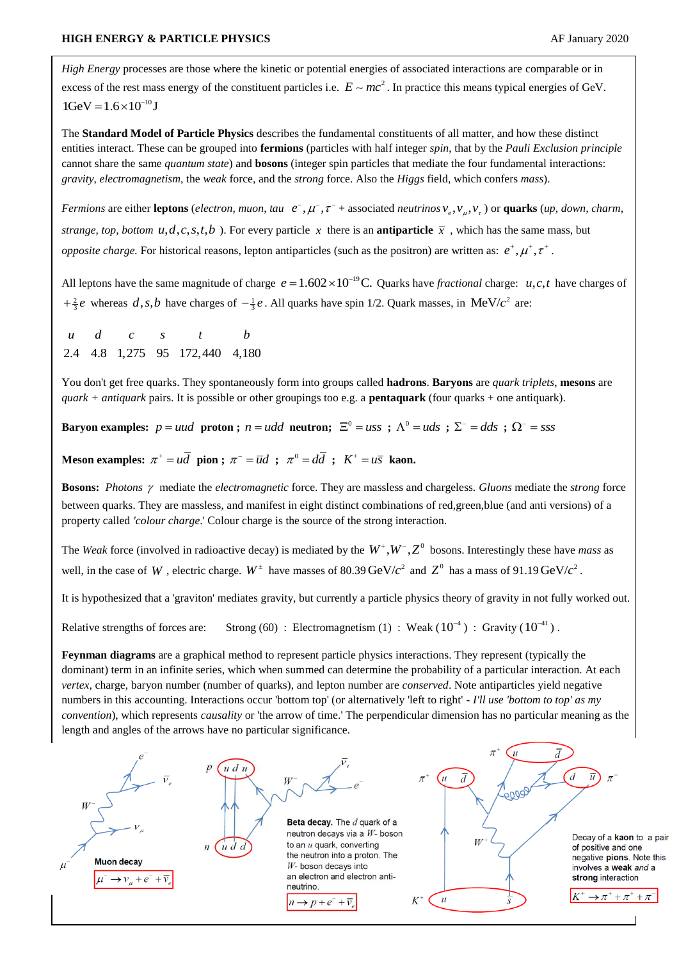*High Energy* processes are those where the kinetic or potential energies of associated interactions are comparable or in excess of the rest mass energy of the constituent particles i.e.  $E \sim mc^2$ . In practice this means typical energies of GeV.  $1 \text{GeV} = 1.6 \times 10^{-10} \text{J}$ 

The **Standard Model of Particle Physics** describes the fundamental constituents of all matter, and how these distinct entities interact. These can be grouped into **fermions** (particles with half integer *spin*, that by the *Pauli Exclusion principle* cannot share the same *quantum state*) and **bosons** (integer spin particles that mediate the four fundamental interactions: *gravity*, *electromagnetism*, the *weak* force, and the *strong* force. Also the *Higgs* field, which confers *mass*).

*Fermions* are either **leptons** (*electron*, *muon*, *tau*  $e^-, \mu^-, \tau^-$  + associated *neutrinos*  $v_e$ ,  $v_\mu$ ,  $v_\tau$ ) or **quarks** (*up*, *down*, *charm*, *strange, top, bottom*  $u, d, c, s, t, b$  ). For every particle x there is an **antiparticle**  $\overline{x}$ , which has the same mass, but *opposite charge.* For historical reasons, lepton antiparticles (such as the positron) are written as:  $e^+$ ,  $\mu^+$ ,  $\tau^+$ .

All leptons have the same magnitude of charge  $e = 1.602 \times 10^{-19}$ C. Quarks have *fractional* charge: *u*,*c*,*t* have charges of  $+\frac{2}{3}e$  whereas d, s, b have charges of  $-\frac{1}{3}e$ . All quarks have spin 1/2. Quark masses, in MeV/ $c^2$  are:

*u d c s t b*<br>2.4 4.8 1,275 95 172,440 4,180 *u d c s t b*

You don't get free quarks. They spontaneously form into groups called **hadrons**. **Baryons** are *quark triplets*, **mesons** are *quark + antiquark* pairs. It is possible or other groupings too e.g. a **pentaquark** (four quarks + one antiquark).

**Baryon examples:**  $p = uud$  proton;  $n = udd$  neutron;  $\Xi^0 = uss$ ;  $\Lambda^0 = uds$ ;  $\Sigma^- = dds$ ;  $\Omega^- = sss$ 

**Meson examples:**  $\pi^+ = u\overline{d}$  **pion ;**  $\pi^- = \overline{u}d$  **;**  $\pi^0 = d\overline{d}$  **;**  $K^+ = u\overline{s}$  **kaon.** 

**Bosons:** Photons  $\gamma$  mediate the *electromagnetic* force. They are massless and chargeless. *Gluons* mediate the *strong* force between quarks. They are massless, and manifest in eight distinct combinations of red,green,blue (and anti versions) of a property called *'colour charge*.' Colour charge is the source of the strong interaction.

The *Weak* force (involved in radioactive decay) is mediated by the  $W^+, W^-, Z^0$  bosons. Interestingly these have *mass* as well, in the case of W, electric charge.  $W^{\pm}$  have masses of 80.39 GeV/ $c^2$  and  $Z^0$  has a mass of 91.19 GeV/ $c^2$ .

It is hypothesized that a 'graviton' mediates gravity, but currently a particle physics theory of gravity in not fully worked out.

Relative strengths of forces are: Strong (60): Electromagnetism (1): Weak ( $10^{-4}$ ): Gravity ( $10^{-4}$ ).

**Feynman diagrams** are a graphical method to represent particle physics interactions. They represent (typically the dominant) term in an infinite series, which when summed can determine the probability of a particular interaction. At each *vertex,* charge, baryon number (number of quarks), and lepton number are *conserved*. Note antiparticles yield negative numbers in this accounting. Interactions occur 'bottom top' (or alternatively 'left to right' - *I'll use 'bottom to top' as my convention*), which represents *causality* or 'the arrow of time.' The perpendicular dimension has no particular meaning as the length and angles of the arrows have no particular significance.

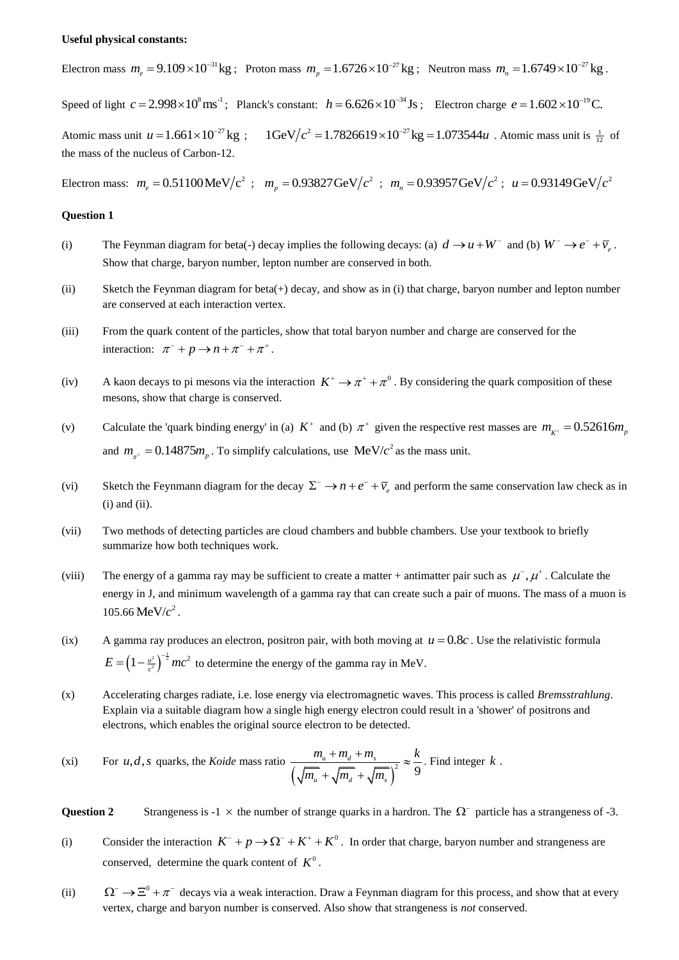## **Useful physical constants:**

Electron mass  $m_e = 9.109 \times 10^{-31}$  kg; Proton mass  $m_p = 1.6726 \times 10^{-27}$  kg; Neutron mass  $m_n = 1.6749 \times 10^{-27}$  kg.

Speed of light  $c = 2.998 \times 10^8 \text{ ms}^{-1}$ ; Planck's constant:  $h = 6.626 \times 10^{-34} \text{Js}$ ; Electron charge  $e = 1.602 \times 10^{-19} \text{C}$ . Atomic mass unit  $u = 1.661 \times 10^{-27}$  kg ;  $1 \text{GeV}/c^2 = 1.7826619 \times 10^{-27}$  kg = 1.073544*u* į. = 1.7826619 × 10<sup>-27</sup> kg = 1.073544*u*. Atomic mass unit is  $\frac{1}{12}$  of the mass of the nucleus of Carbon-12.

Electron mass:  $m_e = 0.51100 \text{ MeV}/c^2$ ;  $m_p = 0.93827 \text{ GeV}/c^2$ ;  $m_n = 0.93957 \text{ GeV}/c^2$ ;  $u = 0.93149 \text{ GeV}/c^2$ 

## **Question 1**

- (i) The Feynman diagram for beta(-) decay implies the following decays: (a)  $d \rightarrow u + W^-$  and (b)  $W^- \rightarrow e^- + \overline{\nu}_e$ . Show that charge, baryon number, lepton number are conserved in both.
- (ii) Sketch the Feynman diagram for beta(+) decay, and show as in (i) that charge, baryon number and lepton number are conserved at each interaction vertex.
- (iii) From the quark content of the particles, show that total baryon number and charge are conserved for the interaction:  $\pi^- + p \rightarrow n + \pi^- + \pi^+$ .
- (iv) A kaon decays to pi mesons via the interaction  $K^+ \to \pi^+ + \pi^0$ . By considering the quark composition of these mesons, show that charge is conserved.
- (v) Calculate the 'quark binding energy' in (a)  $K^+$  and (b)  $\pi^+$  given the respective rest masses are  $m_{K^+} = 0.52616 m_p$ and  $m_{\pi^+} = 0.14875 m_p$ . To simplify calculations, use MeV/ $c^2$  as the mass unit.
- (vi) Sketch the Feynmann diagram for the decay  $\Sigma^- \to n + e^- + \overline{\nu}_e$  and perform the same conservation law check as in  $(i)$  and  $(ii)$ .
- (vii) Two methods of detecting particles are cloud chambers and bubble chambers. Use your textbook to briefly summarize how both techniques work.
- (viii) The energy of a gamma ray may be sufficient to create a matter + antimatter pair such as  $\mu^-, \mu^+$ . Calculate the energy in J, and minimum wavelength of a gamma ray that can create such a pair of muons. The mass of a muon is  $105.66 \text{ MeV}/c^2$ .
- (ix) A gamma ray produces an electron, positron pair, with both moving at  $u = 0.8c$ . Use the relativistic formula  $E = \left(1 - \frac{u^2}{c^2}\right)^{-\frac{1}{2}} mc^2$  to determine the energy of the gamma ray in MeV.
- (x) Accelerating charges radiate, i.e. lose energy via electromagnetic waves. This process is called *Bremsstrahlung*. Explain via a suitable diagram how a single high energy electron could result in a 'shower' of positrons and electrons, which enables the original source electron to be detected.

(xi) For *u*,*d*,*s* quarks, the *Koide* mass ratio 
$$
\frac{m_u + m_d + m_s}{\left(\sqrt{m_u} + \sqrt{m_d} + \sqrt{m_s}\right)^2} \approx \frac{k}{9}
$$
. Find integer *k*.

**Question 2** Strangeness is  $-1 \times$  the number of strange quarks in a hardron. The  $\Omega^-$  particle has a strangeness of  $-3$ .

- (i) Consider the interaction  $K^- + p \rightarrow \Omega^- + K^+ + K^0$ . In order that charge, baryon number and strangeness are conserved, determine the quark content of  $K^0$ .
- (ii)  $\Omega^- \to \Xi^0 + \pi^-$  decays via a weak interaction. Draw a Feynman diagram for this process, and show that at every vertex, charge and baryon number is conserved. Also show that strangeness is *not* conserved.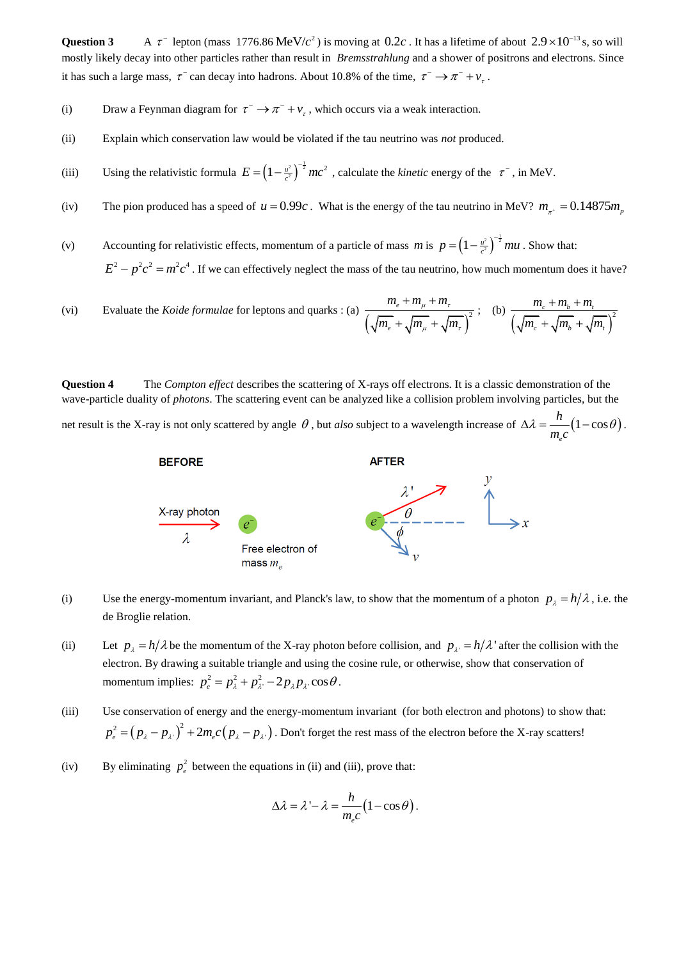**Question 3**  $\tau^-$  lepton (mass 1776.86 MeV/ $c^2$ ) is moving at 0.2*c*. It has a lifetime of about  $2.9 \times 10^{-13}$  s, so will mostly likely decay into other particles rather than result in *Bremsstrahlung* and a shower of positrons and electrons. Since it has such a large mass,  $\tau^-$  can decay into hadrons. About 10.8% of the time,  $\tau^- \to \pi^- + \nu_\tau$ .

- (i) Draw a Feynman diagram for  $\tau^- \to \pi^- + \nu_{\tau}$ , which occurs via a weak interaction.
- (ii) Explain which conservation law would be violated if the tau neutrino was *not* produced.
- (iii) Using the relativistic formula  $E = \left(1 \frac{u^2}{c^2}\right)^{-\frac{1}{2}} mc^2$ , calculate the *kinetic* energy of the  $\tau^-$ , in MeV.
- (iv) The pion produced has a speed of  $u = 0.99c$ . What is the energy of the tau neutrino in MeV?  $m_{\pi^+} = 0.14875 m_{\pi^+}$
- (v) Accounting for relativistic effects, momentum of a particle of mass m is  $p = \left(1 \frac{u^2}{c^2}\right)^{-\frac{1}{2}} mu$ . Show that:  $E^2 - p^2 c^2 = m^2 c^4$ . If we can effectively neglect the mass of the tau neutrino, how much momentum does it have?
- (vi) Evaluate the *Koide formulae* for leptons and quarks : (a)  $\left(\sqrt{m_e} + \sqrt{m_\mu} + \sqrt{m_\tau}\right)^2$ *e e*  $m_e + m_u + m$  $\overline{m_e}$  +  $\sqrt{m_u}$  +  $\sqrt{m_u}$  $m_{\tau}$  +  $m_{\tau}$  $L_{\mu}$  +  $\sqrt{m_{\tau}}$  $+m_u+m$  $\frac{e^{i2\pi i t} + \sqrt{m_{\tau}}}{i + \sqrt{m_{\tau}} + \sqrt{m_{\tau}}}$ ; (b)  $\frac{m_c + m_b + m_t}{\left(\sqrt{m_c} + \sqrt{m_b} + \sqrt{m_t}\right)^2}$  $E_c$  +  $\sqrt{m_b}$  +  $\sqrt{m_b}$  $m_c + m_b + m$  $\sqrt{m_c}$  +  $\sqrt{m_b}$  +  $\sqrt{m_b}$  $+m_h + m$  $+\sqrt{m_b}+\sqrt{m_b}$

**Question 4** The *Compton effect* describes the scattering of X-rays off electrons. It is a classic demonstration of the wave-particle duality of *photons*. The scattering event can be analyzed like a collision problem involving particles, but the

net result is the X-ray is not only scattered by angle  $\theta$ , but *also* subject to a wavelength increase of  $\Delta \lambda = \frac{n}{\pi} (1 - \cos \theta)$ *e h*  $\frac{1}{m_e c}$  $\Delta \lambda = \frac{n}{n} (1 - \cos \theta).$ 



- (i) Use the energy-momentum invariant, and Planck's law, to show that the momentum of a photon  $p_{\lambda} = h/\lambda$ , i.e. the de Broglie relation.
- (ii) Let  $p_{\lambda} = h/\lambda$  be the momentum of the X-ray photon before collision, and  $p_{\lambda} = h/\lambda$  after the collision with the electron. By drawing a suitable triangle and using the cosine rule, or otherwise, show that conservation of momentum implies:  $p_e^2 = p_\lambda^2 + p_\lambda^2 - 2p_\lambda p_\lambda \cos\theta$ .
- (iii) Use conservation of energy and the energy-momentum invariant (for both electron and photons) to show that:  $p_e^2 = (p_\lambda - p_\lambda)^2 + 2m_e c (p_\lambda - p_\lambda)$ . Don't forget the rest mass of the electron before the X-ray scatters!
- (iv) By eliminating  $p_e^2$  between the equations in (ii) and (iii), prove that:

$$
\Delta \lambda = \lambda - \lambda = \frac{h}{m_e c} (1 - \cos \theta).
$$